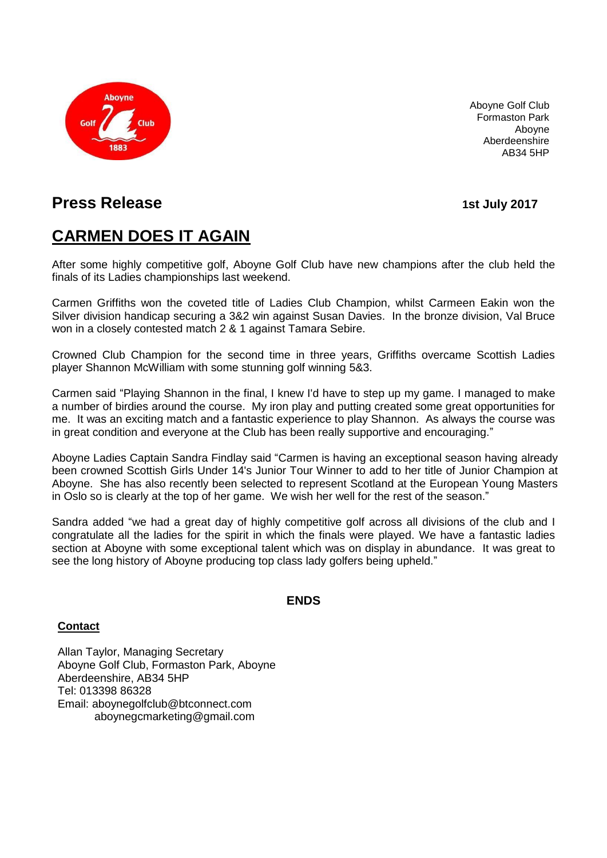

Aboyne Golf Club Formaston Park Aboyne Aberdeenshire AB34 5HP

## **Press Release 15 and 120 and 120 and 120 and 120 and 120 and 120 and 120 and 120 and 120 and 120 and 120 and 120 and 120 and 120 and 120 and 120 and 120 and 120 and 120 and 120 and 120 and 120 and 120 and 120 and 120 an**

# **CARMEN DOES IT AGAIN**

After some highly competitive golf, Aboyne Golf Club have new champions after the club held the finals of its Ladies championships last weekend.

Carmen Griffiths won the coveted title of Ladies Club Champion, whilst Carmeen Eakin won the Silver division handicap securing a 3&2 win against Susan Davies. In the bronze division, Val Bruce won in a closely contested match 2 & 1 against Tamara Sebire.

Crowned Club Champion for the second time in three years, Griffiths overcame Scottish Ladies player Shannon McWilliam with some stunning golf winning 5&3.

Carmen said "Playing Shannon in the final, I knew I'd have to step up my game. I managed to make a number of birdies around the course. My iron play and putting created some great opportunities for me. It was an exciting match and a fantastic experience to play Shannon. As always the course was in great condition and everyone at the Club has been really supportive and encouraging."

Aboyne Ladies Captain Sandra Findlay said "Carmen is having an exceptional season having already been crowned Scottish Girls Under 14's Junior Tour Winner to add to her title of Junior Champion at Aboyne. She has also recently been selected to represent Scotland at the European Young Masters in Oslo so is clearly at the top of her game. We wish her well for the rest of the season."

Sandra added "we had a great day of highly competitive golf across all divisions of the club and I congratulate all the ladies for the spirit in which the finals were played. We have a fantastic ladies section at Aboyne with some exceptional talent which was on display in abundance. It was great to see the long history of Aboyne producing top class lady golfers being upheld."

#### **ENDS**

#### **Contact**

Allan Taylor, Managing Secretary Aboyne Golf Club, Formaston Park, Aboyne Aberdeenshire, AB34 5HP Tel: 013398 86328 Email: [aboynegolfclub@btconnect.com](mailto:aboynegolfclub@btconnect.com) [aboynegcmarketing@gmail.com](mailto:aboynegcmarketing@gmail.com)